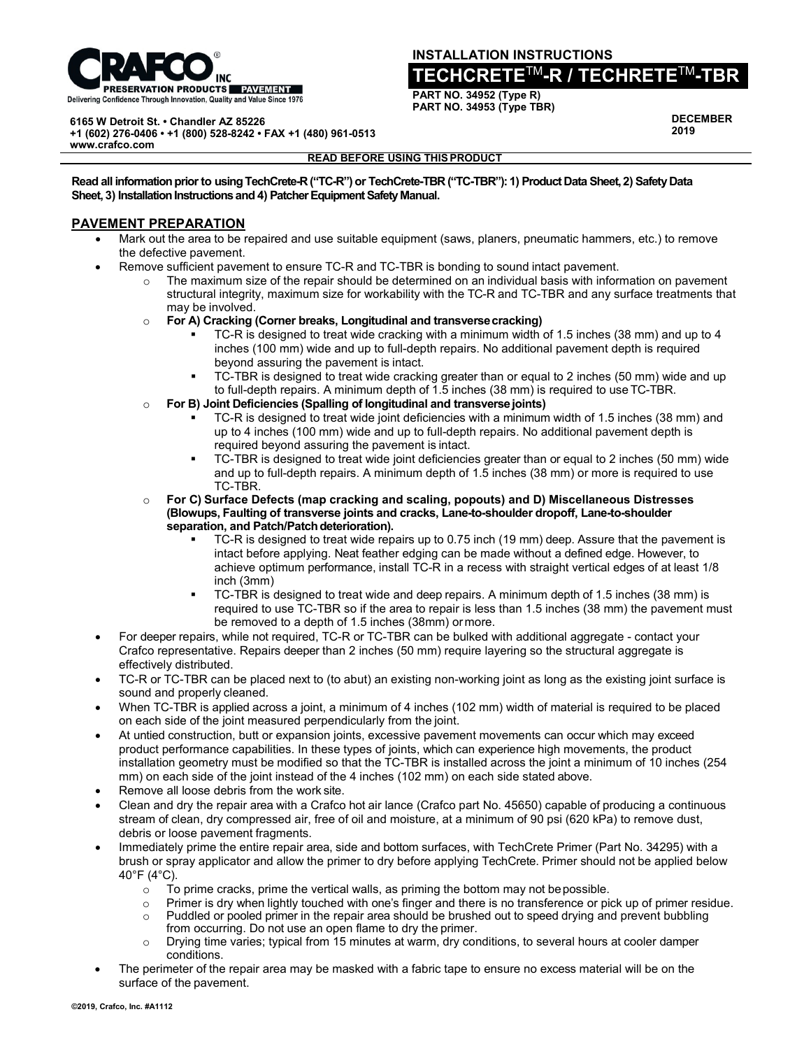

**INSTALLATION INSTRUCTIONS**

## **TECHCRETE**TM**-R / TECHRETE**TM**-TBR**

**PART NO. 34952 (Type R) PART NO. 34953 (Type TBR)**

**DECEMBER 2019**

**6165 W Detroit St. • Chandler AZ 85226**

**+1 (602) 276-0406 • +1 (800) 528-8242 • FAX +1 (480) 961-0513 [www.crafco.com](http://www.crafco.com/)**

## **READ BEFORE USING THISPRODUCT**

**Read all information prior to using TechCrete-R ("TC-R") or TechCrete-TBR ("TC-TBR"): 1) Product Data Sheet, 2) Safety Data Sheet, 3) Installation Instructions and 4) Patcher Equipment Safety Manual.**

## **PAVEMENT PREPARATION**

- Mark out the area to be repaired and use suitable equipment (saws, planers, pneumatic hammers, etc.) to remove the defective pavement.
- Remove sufficient pavement to ensure TC-R and TC-TBR is bonding to sound intact pavement.
	- $\circ$  The maximum size of the repair should be determined on an individual basis with information on pavement structural integrity, maximum size for workability with the TC-R and TC-TBR and any surface treatments that may be involved.
	- o **For A) Cracking (Corner breaks, Longitudinal and transversecracking)**
		- TC-R is designed to treat wide cracking with a minimum width of 1.5 inches (38 mm) and up to 4 inches (100 mm) wide and up to full-depth repairs. No additional pavement depth is required beyond assuring the pavement is intact.
		- TC-TBR is designed to treat wide cracking greater than or equal to 2 inches (50 mm) wide and up to full-depth repairs. A minimum depth of 1.5 inches (38 mm) is required to use TC-TBR.
	- o **For B) Joint Deficiencies (Spalling of longitudinal and transversejoints)**
		- TC-R is designed to treat wide joint deficiencies with a minimum width of 1.5 inches (38 mm) and up to 4 inches (100 mm) wide and up to full-depth repairs. No additional pavement depth is required beyond assuring the pavement is intact.
		- TC-TBR is designed to treat wide joint deficiencies greater than or equal to 2 inches (50 mm) wide and up to full-depth repairs. A minimum depth of 1.5 inches (38 mm) or more is required to use TC-TBR.
	- o **For C) Surface Defects (map cracking and scaling, popouts) and D) Miscellaneous Distresses (Blowups, Faulting of transverse joints and cracks, Lane-to-shoulder dropoff, Lane-to-shoulder**  separation, and Patch/Patch deterioration).
		- TC-R is designed to treat wide repairs up to 0.75 inch (19 mm) deep. Assure that the pavement is intact before applying. Neat feather edging can be made without a defined edge. However, to achieve optimum performance, install TC-R in a recess with straight vertical edges of at least 1/8 inch (3mm)
		- TC-TBR is designed to treat wide and deep repairs. A minimum depth of 1.5 inches (38 mm) is required to use TC-TBR so if the area to repair is less than 1.5 inches (38 mm) the pavement must be removed to a depth of 1.5 inches (38mm) ormore.
- For deeper repairs, while not required, TC-R or TC-TBR can be bulked with additional aggregate contact your Crafco representative. Repairs deeper than 2 inches (50 mm) require layering so the structural aggregate is effectively distributed.
- TC-R or TC-TBR can be placed next to (to abut) an existing non-working joint as long as the existing joint surface is sound and properly cleaned.
- When TC-TBR is applied across a joint, a minimum of 4 inches (102 mm) width of material is required to be placed on each side of the joint measured perpendicularly from the joint.
- At untied construction, butt or expansion joints, excessive pavement movements can occur which may exceed product performance capabilities. In these types of joints, which can experience high movements, the product installation geometry must be modified so that the TC-TBR is installed across the joint a minimum of 10 inches (254 mm) on each side of the joint instead of the 4 inches (102 mm) on each side stated above.
- Remove all loose debris from the work site.
- Clean and dry the repair area with a Crafco hot air lance (Crafco part No. 45650) capable of producing a continuous stream of clean, dry compressed air, free of oil and moisture, at a minimum of 90 psi (620 kPa) to remove dust, debris or loose pavement fragments.
- Immediately prime the entire repair area, side and bottom surfaces, with TechCrete Primer (Part No. 34295) with a brush or spray applicator and allow the primer to dry before applying TechCrete. Primer should not be applied below 40°F (4°C).
	- $\circ$  To prime cracks, prime the vertical walls, as priming the bottom may not be possible.<br>
	Primer is dry when lightly touched with one's finger and there is no transference or pic
	- $\circ$  Primer is dry when lightly touched with one's finger and there is no transference or pick up of primer residue.<br>Puddled or pooled primer in the repair area should be brushed out to speed drying and prevent bubbling
	- Puddled or pooled primer in the repair area should be brushed out to speed drying and prevent bubbling from occurring. Do not use an open flame to dry the primer.
	- o Drying time varies; typical from 15 minutes at warm, dry conditions, to several hours at cooler damper conditions.
- The perimeter of the repair area may be masked with a fabric tape to ensure no excess material will be on the surface of the pavement.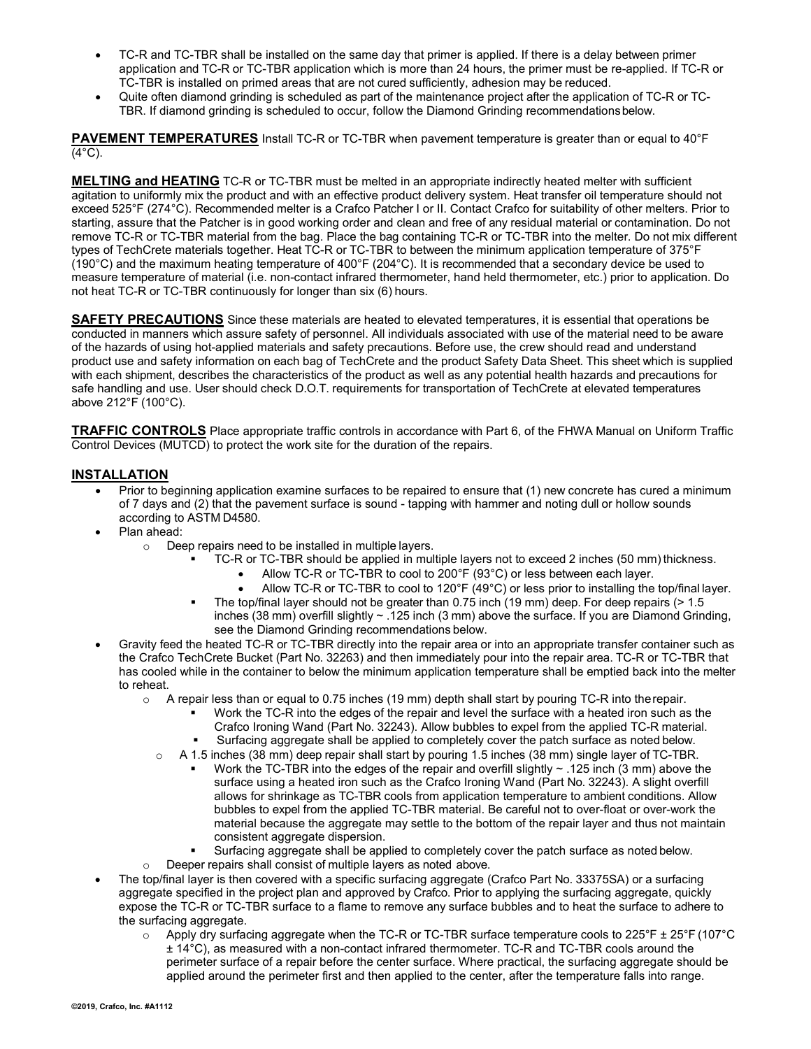- TC-R and TC-TBR shall be installed on the same day that primer is applied. If there is a delay between primer application and TC-R or TC-TBR application which is more than 24 hours, the primer must be re-applied. If TC-R or TC-TBR is installed on primed areas that are not cured sufficiently, adhesion may be reduced.
- Quite often diamond grinding is scheduled as part of the maintenance project after the application of TC-R or TC-TBR. If diamond grinding is scheduled to occur, follow the Diamond Grinding recommendationsbelow.

**PAVEMENT TEMPERATURES** Install TC-R or TC-TBR when pavement temperature is greater than or equal to 40°F  $(4^{\circ}C)$ .

**MELTING and HEATING** TC-R or TC-TBR must be melted in an appropriate indirectly heated melter with sufficient agitation to uniformly mix the product and with an effective product delivery system. Heat transfer oil temperature should not exceed 525°F (274°C). Recommended melter is a Crafco Patcher I or II. Contact Crafco for suitability of other melters. Prior to starting, assure that the Patcher is in good working order and clean and free of any residual material or contamination. Do not remove TC-R or TC-TBR material from the bag. Place the bag containing TC-R or TC-TBR into the melter. Do not mix different types of TechCrete materials together. Heat TC-R or TC-TBR to between the minimum application temperature of 375°F (190°C) and the maximum heating temperature of 400°F (204°C). It is recommended that a secondary device be used to measure temperature of material (i.e. non-contact infrared thermometer, hand held thermometer, etc.) prior to application. Do not heat TC-R or TC-TBR continuously for longer than six (6) hours.

**SAFETY PRECAUTIONS** Since these materials are heated to elevated temperatures, it is essential that operations be conducted in manners which assure safety of personnel. All individuals associated with use of the material need to be aware of the hazards of using hot-applied materials and safety precautions. Before use, the crew should read and understand product use and safety information on each bag of TechCrete and the product Safety Data Sheet. This sheet which is supplied with each shipment, describes the characteristics of the product as well as any potential health hazards and precautions for safe handling and use. User should check D.O.T. requirements for transportation of TechCrete at elevated temperatures above 212°F (100°C).

**TRAFFIC CONTROLS** Place appropriate traffic controls in accordance with Part 6, of the FHWA Manual on Uniform Traffic Control Devices (MUTCD) to protect the work site for the duration of the repairs.

## **INSTALLATION**

- Prior to beginning application examine surfaces to be repaired to ensure that (1) new concrete has cured a minimum of 7 days and (2) that the pavement surface is sound - tapping with hammer and noting dull or hollow sounds according to ASTM D4580.
- Plan ahead:
	- o Deep repairs need to be installed in multiple layers.
		- TC-R or TC-TBR should be applied in multiple layers not to exceed 2 inches (50 mm) thickness.
			- Allow TC-R or TC-TBR to cool to 200°F (93°C) or less between each layer.
			- Allow TC-R or TC-TBR to cool to 120°F (49°C) or less prior to installing the top/final layer.
		- The top/final layer should not be greater than 0.75 inch (19 mm) deep. For deep repairs (> 1.5 inches (38 mm) overfill slightly ~ .125 inch (3 mm) above the surface. If you are Diamond Grinding, see the Diamond Grinding recommendations below.
- Gravity feed the heated TC-R or TC-TBR directly into the repair area or into an appropriate transfer container such as the Crafco TechCrete Bucket (Part No. 32263) and then immediately pour into the repair area. TC-R or TC-TBR that has cooled while in the container to below the minimum application temperature shall be emptied back into the melter to reheat.
	- $\circ$  A repair less than or equal to 0.75 inches (19 mm) depth shall start by pouring TC-R into the repair.
		- Work the TC-R into the edges of the repair and level the surface with a heated iron such as the
			- Crafco Ironing Wand (Part No. 32243). Allow bubbles to expel from the applied TC-R material.
		- Surfacing aggregate shall be applied to completely cover the patch surface as noted below.
		- $\circ$  A 1.5 inches (38 mm) deep repair shall start by pouring 1.5 inches (38 mm) single layer of TC-TBR.
			- Work the TC-TBR into the edges of the repair and overfill slightly ~ .125 inch (3 mm) above the surface using a heated iron such as the Crafco Ironing Wand (Part No. 32243). A slight overfill allows for shrinkage as TC-TBR cools from application temperature to ambient conditions. Allow bubbles to expel from the applied TC-TBR material. Be careful not to over-float or over-work the material because the aggregate may settle to the bottom of the repair layer and thus not maintain consistent aggregate dispersion.
			- Surfacing aggregate shall be applied to completely cover the patch surface as noted below.
	- o Deeper repairs shall consist of multiple layers as noted above.
- The top/final layer is then covered with a specific surfacing aggregate (Crafco Part No. 33375SA) or a surfacing aggregate specified in the project plan and approved by Crafco. Prior to applying the surfacing aggregate, quickly expose the TC-R or TC-TBR surface to a flame to remove any surface bubbles and to heat the surface to adhere to the surfacing aggregate.
	- o Apply dry surfacing aggregate when the TC-R or TC-TBR surface temperature cools to 225°F ± 25°F (107°C ± 14°C), as measured with a non-contact infrared thermometer. TC-R and TC-TBR cools around the perimeter surface of a repair before the center surface. Where practical, the surfacing aggregate should be applied around the perimeter first and then applied to the center, after the temperature falls into range.